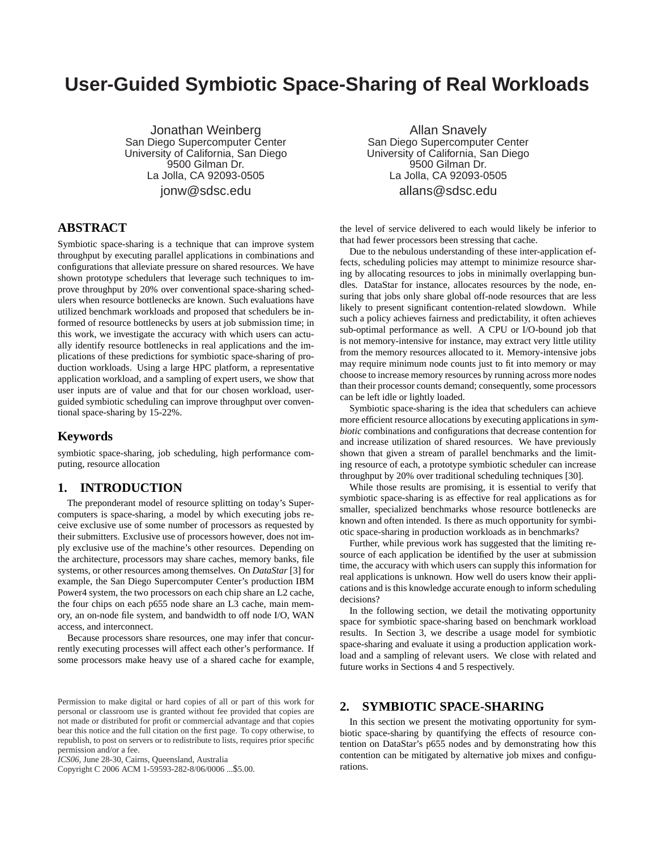# **User-Guided Symbiotic Space-Sharing of Real Workloads**

Jonathan Weinberg San Diego Supercomputer Center University of California, San Diego 9500 Gilman Dr. La Jolla, CA 92093-0505 jonw@sdsc.edu

## **ABSTRACT**

Symbiotic space-sharing is a technique that can improve system throughput by executing parallel applications in combinations and configurations that alleviate pressure on shared resources. We have shown prototype schedulers that leverage such techniques to improve throughput by 20% over conventional space-sharing schedulers when resource bottlenecks are known. Such evaluations have utilized benchmark workloads and proposed that schedulers be informed of resource bottlenecks by users at job submission time; in this work, we investigate the accuracy with which users can actually identify resource bottlenecks in real applications and the implications of these predictions for symbiotic space-sharing of production workloads. Using a large HPC platform, a representative application workload, and a sampling of expert users, we show that user inputs are of value and that for our chosen workload, userguided symbiotic scheduling can improve throughput over conventional space-sharing by 15-22%.

## **Keywords**

symbiotic space-sharing, job scheduling, high performance computing, resource allocation

## **1. INTRODUCTION**

The preponderant model of resource splitting on today's Supercomputers is space-sharing, a model by which executing jobs receive exclusive use of some number of processors as requested by their submitters. Exclusive use of processors however, does not imply exclusive use of the machine's other resources. Depending on the architecture, processors may share caches, memory banks, file systems, or other resources among themselves. On *DataStar* [3] for example, the San Diego Supercomputer Center's production IBM Power4 system, the two processors on each chip share an L2 cache, the four chips on each p655 node share an L3 cache, main memory, an on-node file system, and bandwidth to off node I/O, WAN access, and interconnect.

Because processors share resources, one may infer that concurrently executing processes will affect each other's performance. If some processors make heavy use of a shared cache for example,

Copyright C 2006 ACM 1-59593-282-8/06/0006 ...\$5.00.

Allan Snavely San Diego Supercomputer Center University of California, San Diego 9500 Gilman Dr. La Jolla, CA 92093-0505 allans@sdsc.edu

the level of service delivered to each would likely be inferior to that had fewer processors been stressing that cache.

Due to the nebulous understanding of these inter-application effects, scheduling policies may attempt to minimize resource sharing by allocating resources to jobs in minimally overlapping bundles. DataStar for instance, allocates resources by the node, ensuring that jobs only share global off-node resources that are less likely to present significant contention-related slowdown. While such a policy achieves fairness and predictability, it often achieves sub-optimal performance as well. A CPU or I/O-bound job that is not memory-intensive for instance, may extract very little utility from the memory resources allocated to it. Memory-intensive jobs may require minimum node counts just to fit into memory or may choose to increase memory resources by running across more nodes than their processor counts demand; consequently, some processors can be left idle or lightly loaded.

Symbiotic space-sharing is the idea that schedulers can achieve more efficient resource allocations by executing applications in *symbiotic* combinations and configurations that decrease contention for and increase utilization of shared resources. We have previously shown that given a stream of parallel benchmarks and the limiting resource of each, a prototype symbiotic scheduler can increase throughput by 20% over traditional scheduling techniques [30].

While those results are promising, it is essential to verify that symbiotic space-sharing is as effective for real applications as for smaller, specialized benchmarks whose resource bottlenecks are known and often intended. Is there as much opportunity for symbiotic space-sharing in production workloads as in benchmarks?

Further, while previous work has suggested that the limiting resource of each application be identified by the user at submission time, the accuracy with which users can supply this information for real applications is unknown. How well do users know their applications and is this knowledge accurate enough to inform scheduling decisions?

In the following section, we detail the motivating opportunity space for symbiotic space-sharing based on benchmark workload results. In Section 3, we describe a usage model for symbiotic space-sharing and evaluate it using a production application workload and a sampling of relevant users. We close with related and future works in Sections 4 and 5 respectively.

## **2. SYMBIOTIC SPACE-SHARING**

In this section we present the motivating opportunity for symbiotic space-sharing by quantifying the effects of resource contention on DataStar's p655 nodes and by demonstrating how this contention can be mitigated by alternative job mixes and configurations.

Permission to make digital or hard copies of all or part of this work for personal or classroom use is granted without fee provided that copies are not made or distributed for profit or commercial advantage and that copies bear this notice and the full citation on the first page. To copy otherwise, to republish, to post on servers or to redistribute to lists, requires prior specific permission and/or a fee.

*ICS06,* June 28-30, Cairns, Queensland, Australia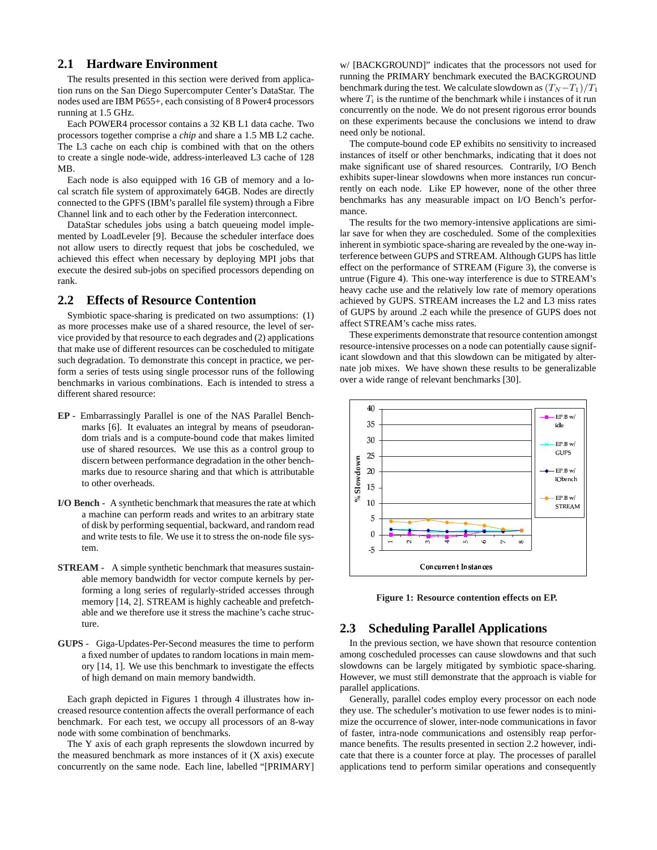## **2.1 Hardware Environment**

The results presented in this section were derived from application runs on the San Diego Supercomputer Center's DataStar. The nodes used are IBM P655+, each consisting of 8 Power4 processors running at 1.5 GHz.

Each POWER4 processor contains a 32 KB L1 data cache. Two processors together comprise a *chip* and share a 1.5 MB L2 cache. The L3 cache on each chip is combined with that on the others to create a single node-wide, address-interleaved L3 cache of 128 MB.

Each node is also equipped with 16 GB of memory and a local scratch file system of approximately 64GB. Nodes are directly connected to the GPFS (IBM's parallel file system) through a Fibre Channel link and to each other by the Federation interconnect.

DataStar schedules jobs using a batch queueing model implemented by LoadLeveler [9]. Because the scheduler interface does not allow users to directly request that jobs be coscheduled, we achieved this effect when necessary by deploying MPI jobs that execute the desired sub-jobs on specified processors depending on rank.

## **2.2 Effects of Resource Contention**

Symbiotic space-sharing is predicated on two assumptions: (1) as more processes make use of a shared resource, the level of service provided by that resource to each degrades and (2) applications that make use of different resources can be coscheduled to mitigate such degradation. To demonstrate this concept in practice, we perform a series of tests using single processor runs of the following benchmarks in various combinations. Each is intended to stress a different shared resource:

- **EP -** Embarrassingly Parallel is one of the NAS Parallel Benchmarks [6]. It evaluates an integral by means of pseudorandom trials and is a compute-bound code that makes limited use of shared resources. We use this as a control group to discern between performance degradation in the other benchmarks due to resource sharing and that which is attributable to other overheads.
- **I/O Bench -** A synthetic benchmark that measures the rate at which a machine can perform reads and writes to an arbitrary state of disk by performing sequential, backward, and random read and write tests to file. We use it to stress the on-node file system.
- **STREAM -** A simple synthetic benchmark that measures sustainable memory bandwidth for vector compute kernels by performing a long series of regularly-strided accesses through memory [14, 2]. STREAM is highly cacheable and prefetchable and we therefore use it stress the machine's cache structure.
- **GUPS -** Giga-Updates-Per-Second measures the time to perform a fixed number of updates to random locations in main memory [14, 1]. We use this benchmark to investigate the effects of high demand on main memory bandwidth.

Each graph depicted in Figures 1 through 4 illustrates how increased resource contention affects the overall performance of each benchmark. For each test, we occupy all processors of an 8-way node with some combination of benchmarks.

The Y axis of each graph represents the slowdown incurred by the measured benchmark as more instances of it  $(X \text{ axis})$  execute concurrently on the same node. Each line, labelled "[PRIMARY] w/ [BACKGROUND]" indicates that the processors not used for running the PRIMARY benchmark executed the BACKGROUND benchmark during the test. We calculate slowdown as  $(T_N - T_1)/T_1$ where  $T_i$  is the runtime of the benchmark while i instances of it run concurrently on the node. We do not present rigorous error bounds on these experiments because the conclusions we intend to draw need only be notional.

The compute-bound code EP exhibits no sensitivity to increased instances of itself or other benchmarks, indicating that it does not make significant use of shared resources. Contrarily, I/O Bench exhibits super-linear slowdowns when more instances run concurrently on each node. Like EP however, none of the other three benchmarks has any measurable impact on I/O Bench's performance.

The results for the two memory-intensive applications are similar save for when they are coscheduled. Some of the complexities inherent in symbiotic space-sharing are revealed by the one-way interference between GUPS and STREAM. Although GUPS has little effect on the performance of STREAM (Figure 3), the converse is untrue (Figure 4). This one-way interference is due to STREAM's heavy cache use and the relatively low rate of memory operations achieved by GUPS. STREAM increases the L2 and L3 miss rates of GUPS by around .2 each while the presence of GUPS does not affect STREAM's cache miss rates.

These experiments demonstrate that resource contention amongst resource-intensive processes on a node can potentially cause significant slowdown and that this slowdown can be mitigated by alternate job mixes. We have shown these results to be generalizable over a wide range of relevant benchmarks [30].



**Figure 1: Resource contention effects on EP.**

## **2.3 Scheduling Parallel Applications**

In the previous section, we have shown that resource contention among coscheduled processes can cause slowdowns and that such slowdowns can be largely mitigated by symbiotic space-sharing. However, we must still demonstrate that the approach is viable for parallel applications.

Generally, parallel codes employ every processor on each node they use. The scheduler's motivation to use fewer nodes is to minimize the occurrence of slower, inter-node communications in favor of faster, intra-node communications and ostensibly reap performance benefits. The results presented in section 2.2 however, indicate that there is a counter force at play. The processes of parallel applications tend to perform similar operations and consequently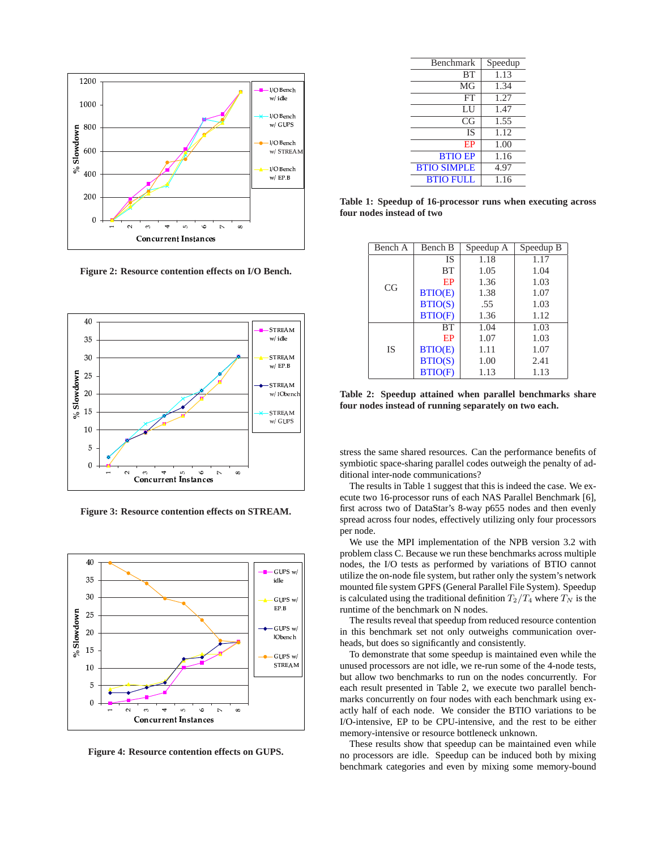

**Figure 2: Resource contention effects on I/O Bench.**



**Figure 3: Resource contention effects on STREAM.**



**Figure 4: Resource contention effects on GUPS.**

| <b>Benchmark</b>   | Speedup |
|--------------------|---------|
| <b>BT</b>          | 1.13    |
| MG                 | 1.34    |
| FT                 | 1.27    |
| IJ                 | 1.47    |
| CG                 | 1.55    |
| <b>IS</b>          | 1.12    |
| EP                 | 1.00    |
| <b>BTIO EP</b>     | 1.16    |
| <b>BTIO SIMPLE</b> | 4.97    |
| <b>BTIO FULL</b>   | 1.16    |
|                    |         |

**Table 1: Speedup of 16-processor runs when executing across four nodes instead of two**

| Bench A   | Bench B        | Speedup A | Speedup B |
|-----------|----------------|-----------|-----------|
| CG        | <b>IS</b>      | 1.18      | 1.17      |
|           | BT             | 1.05      | 1.04      |
|           | EP             | 1.36      | 1.03      |
|           | <b>BTIO(E)</b> | 1.38      | 1.07      |
|           | BTIO(S)        | .55       | 1.03      |
|           | <b>BTIO(F)</b> | 1.36      | 1.12      |
| <b>IS</b> | <b>BT</b>      | 1.04      | 1.03      |
|           | EP             | 1.07      | 1.03      |
|           | <b>BTIO(E)</b> | 1.11      | 1.07      |
|           | BTIO(S)        | 1.00      | 2.41      |
|           | <b>BTIO(F)</b> | 1.13      | 1.13      |

**Table 2: Speedup attained when parallel benchmarks share four nodes instead of running separately on two each.**

stress the same shared resources. Can the performance benefits of symbiotic space-sharing parallel codes outweigh the penalty of additional inter-node communications?

The results in Table 1 suggest that this is indeed the case. We execute two 16-processor runs of each NAS Parallel Benchmark [6], first across two of DataStar's 8-way p655 nodes and then evenly spread across four nodes, effectively utilizing only four processors per node.

We use the MPI implementation of the NPB version 3.2 with problem class C. Because we run these benchmarks across multiple nodes, the I/O tests as performed by variations of BTIO cannot utilize the on-node file system, but rather only the system's network mounted file system GPFS (General Parallel File System). Speedup is calculated using the traditional definition  $T_2/T_4$  where  $T_N$  is the runtime of the benchmark on N nodes.

The results reveal that speedup from reduced resource contention in this benchmark set not only outweighs communication overheads, but does so significantly and consistently.

 $STREAM$  || unused processors are not idle, we re-run some of the 4-node tests, To demonstrate that some speedup is maintained even while the but allow two benchmarks to run on the nodes concurrently. For each result presented in Table 2, we execute two parallel benchmarks concurrently on four nodes with each benchmark using exactly half of each node. We consider the BTIO variations to be I/O-intensive, EP to be CPU-intensive, and the rest to be either memory-intensive or resource bottleneck unknown.

> These results show that speedup can be maintained even while no processors are idle. Speedup can be induced both by mixing benchmark categories and even by mixing some memory-bound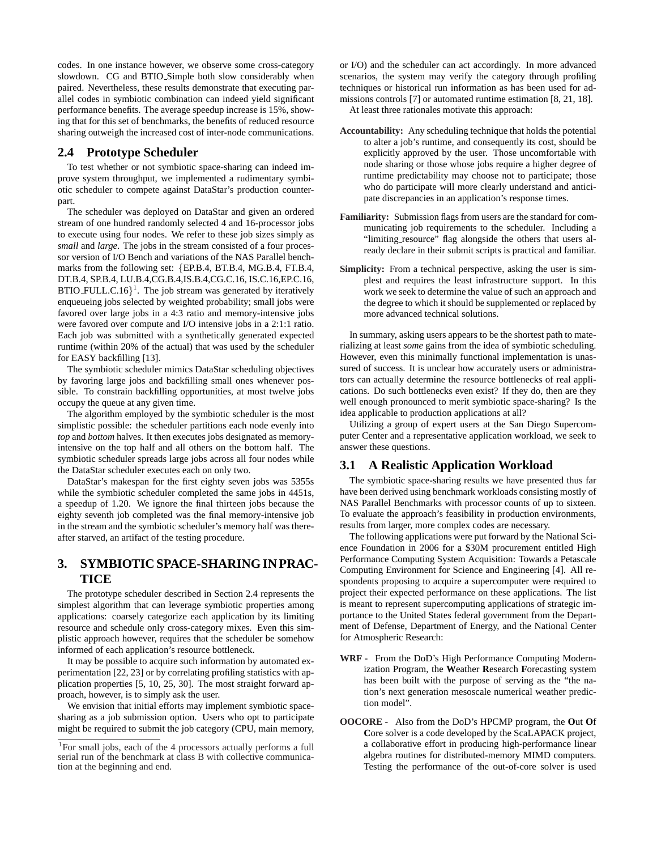codes. In one instance however, we observe some cross-category slowdown. CG and BTIO Simple both slow considerably when paired. Nevertheless, these results demonstrate that executing parallel codes in symbiotic combination can indeed yield significant performance benefits. The average speedup increase is 15%, showing that for this set of benchmarks, the benefits of reduced resource sharing outweigh the increased cost of inter-node communications.

#### **2.4 Prototype Scheduler**

To test whether or not symbiotic space-sharing can indeed improve system throughput, we implemented a rudimentary symbiotic scheduler to compete against DataStar's production counterpart.

The scheduler was deployed on DataStar and given an ordered stream of one hundred randomly selected 4 and 16-processor jobs to execute using four nodes. We refer to these job sizes simply as *small* and *large*. The jobs in the stream consisted of a four processor version of I/O Bench and variations of the NAS Parallel benchmarks from the following set: {EP.B.4, BT.B.4, MG.B.4, FT.B.4, DT.B.4, SP.B.4, LU.B.4,CG.B.4,IS.B.4,CG.C.16, IS.C.16,EP.C.16,  $BTIO$  FULL.C.16 $]$ <sup>1</sup>. The job stream was generated by iteratively enqueueing jobs selected by weighted probability; small jobs were favored over large jobs in a 4:3 ratio and memory-intensive jobs were favored over compute and I/O intensive jobs in a 2:1:1 ratio. Each job was submitted with a synthetically generated expected runtime (within 20% of the actual) that was used by the scheduler for EASY backfilling [13].

The symbiotic scheduler mimics DataStar scheduling objectives by favoring large jobs and backfilling small ones whenever possible. To constrain backfilling opportunities, at most twelve jobs occupy the queue at any given time.

The algorithm employed by the symbiotic scheduler is the most simplistic possible: the scheduler partitions each node evenly into *top* and *bottom* halves. It then executes jobs designated as memoryintensive on the top half and all others on the bottom half. The symbiotic scheduler spreads large jobs across all four nodes while the DataStar scheduler executes each on only two.

DataStar's makespan for the first eighty seven jobs was 5355s while the symbiotic scheduler completed the same jobs in 4451s, a speedup of 1.20. We ignore the final thirteen jobs because the eighty seventh job completed was the final memory-intensive job in the stream and the symbiotic scheduler's memory half was thereafter starved, an artifact of the testing procedure.

## **3. SYMBIOTIC SPACE-SHARING IN PRAC-TICE**

The prototype scheduler described in Section 2.4 represents the simplest algorithm that can leverage symbiotic properties among applications: coarsely categorize each application by its limiting resource and schedule only cross-category mixes. Even this simplistic approach however, requires that the scheduler be somehow informed of each application's resource bottleneck.

It may be possible to acquire such information by automated experimentation [22, 23] or by correlating profiling statistics with application properties [5, 10, 25, 30]. The most straight forward approach, however, is to simply ask the user.

We envision that initial efforts may implement symbiotic spacesharing as a job submission option. Users who opt to participate might be required to submit the job category (CPU, main memory, or I/O) and the scheduler can act accordingly. In more advanced scenarios, the system may verify the category through profiling techniques or historical run information as has been used for admissions controls [7] or automated runtime estimation [8, 21, 18]. At least three rationales motivate this approach:

**Accountability:** Any scheduling technique that holds the potential to alter a job's runtime, and consequently its cost, should be explicitly approved by the user. Those uncomfortable with node sharing or those whose jobs require a higher degree of runtime predictability may choose not to participate; those who do participate will more clearly understand and anticipate discrepancies in an application's response times.

- **Familiarity:** Submission flags from users are the standard for communicating job requirements to the scheduler. Including a "limiting resource" flag alongside the others that users already declare in their submit scripts is practical and familiar.
- **Simplicity:** From a technical perspective, asking the user is simplest and requires the least infrastructure support. In this work we seek to determine the value of such an approach and the degree to which it should be supplemented or replaced by more advanced technical solutions.

In summary, asking users appears to be the shortest path to materializing at least *some* gains from the idea of symbiotic scheduling. However, even this minimally functional implementation is unassured of success. It is unclear how accurately users or administrators can actually determine the resource bottlenecks of real applications. Do such bottlenecks even exist? If they do, then are they well enough pronounced to merit symbiotic space-sharing? Is the idea applicable to production applications at all?

Utilizing a group of expert users at the San Diego Supercomputer Center and a representative application workload, we seek to answer these questions.

## **3.1 A Realistic Application Workload**

The symbiotic space-sharing results we have presented thus far have been derived using benchmark workloads consisting mostly of NAS Parallel Benchmarks with processor counts of up to sixteen. To evaluate the approach's feasibility in production environments, results from larger, more complex codes are necessary.

The following applications were put forward by the National Science Foundation in 2006 for a \$30M procurement entitled High Performance Computing System Acquisition: Towards a Petascale Computing Environment for Science and Engineering [4]. All respondents proposing to acquire a supercomputer were required to project their expected performance on these applications. The list is meant to represent supercomputing applications of strategic importance to the United States federal government from the Department of Defense, Department of Energy, and the National Center for Atmospheric Research:

- **WRF -** From the DoD's High Performance Computing Modernization Program, the **W**eather **R**esearch **F**orecasting system has been built with the purpose of serving as the "the nation's next generation mesoscale numerical weather prediction model".
- **OOCORE -** Also from the DoD's HPCMP program, the **O**ut **O**f Core solver is a code developed by the ScaLAPACK project, a collaborative effort in producing high-performance linear algebra routines for distributed-memory MIMD computers. Testing the performance of the out-of-core solver is used

<sup>&</sup>lt;sup>1</sup>For small jobs, each of the 4 processors actually performs a full serial run of the benchmark at class B with collective communication at the beginning and end.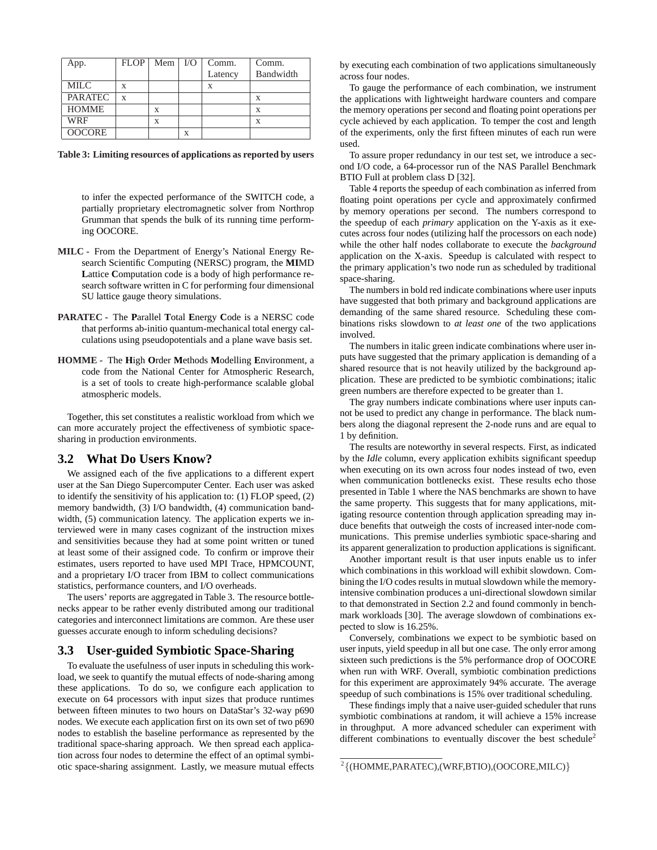| App.           | <b>FLOP</b> | Mem $\vert$ I/O |   | Comm.   | Comm.     |
|----------------|-------------|-----------------|---|---------|-----------|
|                |             |                 |   | Latency | Bandwidth |
| <b>MILC</b>    | X           |                 |   | X       |           |
| <b>PARATEC</b> | X           |                 |   |         |           |
| <b>HOMME</b>   |             | X               |   |         |           |
| WRF            |             | X               |   |         |           |
| <b>OOCORE</b>  |             |                 | X |         |           |

**Table 3: Limiting resources of applications as reported by users**

to infer the expected performance of the SWITCH code, a partially proprietary electromagnetic solver from Northrop Grumman that spends the bulk of its running time performing OOCORE.

- **MILC -** From the Department of Energy's National Energy Research Scientific Computing (NERSC) program, the **MI**MD **L**attice **C**omputation code is a body of high performance research software written in C for performing four dimensional SU lattice gauge theory simulations.
- **PARATEC -** The **P**arallel **T**otal **E**nergy **C**ode is a NERSC code that performs ab-initio quantum-mechanical total energy calculations using pseudopotentials and a plane wave basis set.
- **HOMME -** The **H**igh **O**rder **M**ethods **M**odelling **E**nvironment, a code from the National Center for Atmospheric Research, is a set of tools to create high-performance scalable global atmospheric models.

Together, this set constitutes a realistic workload from which we can more accurately project the effectiveness of symbiotic spacesharing in production environments.

#### **3.2 What Do Users Know?**

We assigned each of the five applications to a different expert user at the San Diego Supercomputer Center. Each user was asked to identify the sensitivity of his application to: (1) FLOP speed, (2) memory bandwidth, (3) I/O bandwidth, (4) communication bandwidth, (5) communication latency. The application experts we interviewed were in many cases cognizant of the instruction mixes and sensitivities because they had at some point written or tuned at least some of their assigned code. To confirm or improve their estimates, users reported to have used MPI Trace, HPMCOUNT, and a proprietary I/O tracer from IBM to collect communications statistics, performance counters, and I/O overheads.

The users' reports are aggregated in Table 3. The resource bottlenecks appear to be rather evenly distributed among our traditional categories and interconnect limitations are common. Are these user guesses accurate enough to inform scheduling decisions?

#### **3.3 User-guided Symbiotic Space-Sharing**

To evaluate the usefulness of user inputs in scheduling this workload, we seek to quantify the mutual effects of node-sharing among these applications. To do so, we configure each application to execute on 64 processors with input sizes that produce runtimes between fifteen minutes to two hours on DataStar's 32-way p690 nodes. We execute each application first on its own set of two p690 nodes to establish the baseline performance as represented by the traditional space-sharing approach. We then spread each application across four nodes to determine the effect of an optimal symbiotic space-sharing assignment. Lastly, we measure mutual effects

by executing each combination of two applications simultaneously across four nodes.

To gauge the performance of each combination, we instrument the applications with lightweight hardware counters and compare the memory operations per second and floating point operations per cycle achieved by each application. To temper the cost and length of the experiments, only the first fifteen minutes of each run were used.

To assure proper redundancy in our test set, we introduce a second I/O code, a 64-processor run of the NAS Parallel Benchmark BTIO Full at problem class D [32].

Table 4 reports the speedup of each combination as inferred from floating point operations per cycle and approximately confirmed by memory operations per second. The numbers correspond to the speedup of each *primary* application on the Y-axis as it executes across four nodes (utilizing half the processors on each node) while the other half nodes collaborate to execute the *background* application on the X-axis. Speedup is calculated with respect to the primary application's two node run as scheduled by traditional space-sharing.

The numbers in bold red indicate combinations where user inputs have suggested that both primary and background applications are demanding of the same shared resource. Scheduling these combinations risks slowdown to *at least one* of the two applications involved.

The numbers in italic green indicate combinations where user inputs have suggested that the primary application is demanding of a shared resource that is not heavily utilized by the background application. These are predicted to be symbiotic combinations; italic green numbers are therefore expected to be greater than 1.

The gray numbers indicate combinations where user inputs cannot be used to predict any change in performance. The black numbers along the diagonal represent the 2-node runs and are equal to 1 by definition.

The results are noteworthy in several respects. First, as indicated by the *Idle* column, every application exhibits significant speedup when executing on its own across four nodes instead of two, even when communication bottlenecks exist. These results echo those presented in Table 1 where the NAS benchmarks are shown to have the same property. This suggests that for many applications, mitigating resource contention through application spreading may induce benefits that outweigh the costs of increased inter-node communications. This premise underlies symbiotic space-sharing and its apparent generalization to production applications is significant.

Another important result is that user inputs enable us to infer which combinations in this workload will exhibit slowdown. Combining the I/O codes results in mutual slowdown while the memoryintensive combination produces a uni-directional slowdown similar to that demonstrated in Section 2.2 and found commonly in benchmark workloads [30]. The average slowdown of combinations expected to slow is 16.25%.

Conversely, combinations we expect to be symbiotic based on user inputs, yield speedup in all but one case. The only error among sixteen such predictions is the 5% performance drop of OOCORE when run with WRF. Overall, symbiotic combination predictions for this experiment are approximately 94% accurate. The average speedup of such combinations is 15% over traditional scheduling.

These findings imply that a naive user-guided scheduler that runs symbiotic combinations at random, it will achieve a 15% increase in throughput. A more advanced scheduler can experiment with different combinations to eventually discover the best schedule<sup>2</sup>

<sup>2</sup> {(HOMME,PARATEC),(WRF,BTIO),(OOCORE,MILC)}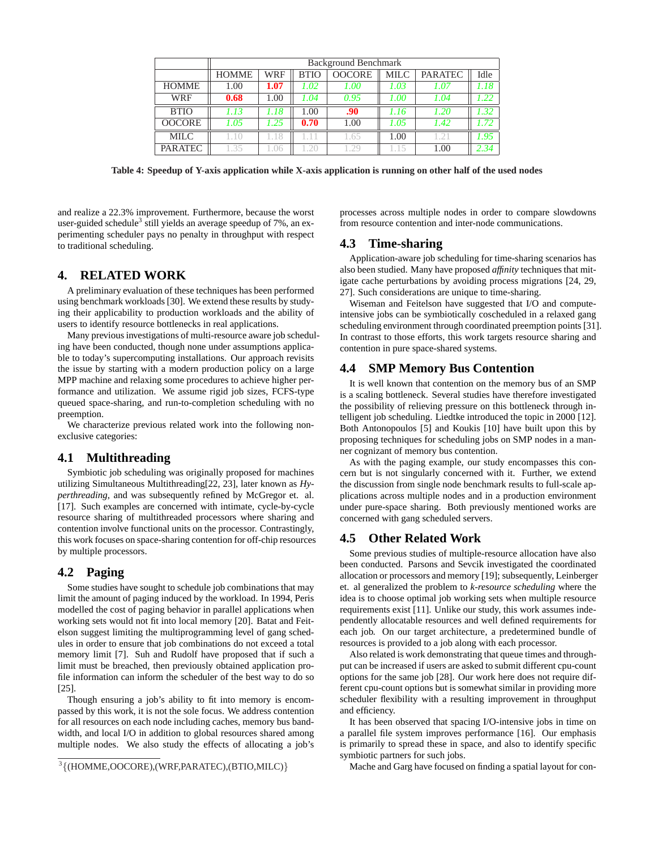|                | Background Benchmark |      |             |               |             |                    |      |
|----------------|----------------------|------|-------------|---------------|-------------|--------------------|------|
|                | <b>HOMME</b>         | WRF  | <b>BTIO</b> | <b>OOCORE</b> | <b>MILC</b> | <b>PARATEC</b>     | Idle |
| <b>HOMME</b>   | 1.00                 | 1.07 | 1.02        | 1.00          | 1.03        | 1.07               | 1.18 |
| <b>WRF</b>     | 0.68                 | 1.00 | 1.04        | 0.95          | 1.00        | 1.04               | 1.22 |
| <b>BTIO</b>    | 1.13                 | 1.18 | 1.00        | .90           | 1.16        | 1.20               | .32  |
| <b>OOCORE</b>  | 1.05                 | 1.25 | 0.70        | 1.00          | 1.05        | 1.42               | .72  |
| <b>MILC</b>    | $-10$                | -18  |             | .65           | 1.00        | $\left( .2\right)$ | 1.95 |
| <b>PARATEC</b> | 1.35                 | (16) | .20         | .29           | .15         | 1.00               | 2.34 |

**Table 4: Speedup of Y-axis application while X-axis application is running on other half of the used nodes**

and realize a 22.3% improvement. Furthermore, because the worst user-guided schedule<sup>3</sup> still yields an average speedup of 7%, an experimenting scheduler pays no penalty in throughput with respect to traditional scheduling.

## **4. RELATED WORK**

A preliminary evaluation of these techniques has been performed using benchmark workloads [30]. We extend these results by studying their applicability to production workloads and the ability of users to identify resource bottlenecks in real applications.

Many previous investigations of multi-resource aware job scheduling have been conducted, though none under assumptions applicable to today's supercomputing installations. Our approach revisits the issue by starting with a modern production policy on a large MPP machine and relaxing some procedures to achieve higher performance and utilization. We assume rigid job sizes, FCFS-type queued space-sharing, and run-to-completion scheduling with no preemption.

We characterize previous related work into the following nonexclusive categories:

## **4.1 Multithreading**

Symbiotic job scheduling was originally proposed for machines utilizing Simultaneous Multithreading[22, 23], later known as *Hyperthreading*, and was subsequently refined by McGregor et. al. [17]. Such examples are concerned with intimate, cycle-by-cycle resource sharing of multithreaded processors where sharing and contention involve functional units on the processor. Contrastingly, this work focuses on space-sharing contention for off-chip resources by multiple processors.

## **4.2 Paging**

Some studies have sought to schedule job combinations that may limit the amount of paging induced by the workload. In 1994, Peris modelled the cost of paging behavior in parallel applications when working sets would not fit into local memory [20]. Batat and Feitelson suggest limiting the multiprogramming level of gang schedules in order to ensure that job combinations do not exceed a total memory limit [7]. Suh and Rudolf have proposed that if such a limit must be breached, then previously obtained application profile information can inform the scheduler of the best way to do so [25].

Though ensuring a job's ability to fit into memory is encompassed by this work, it is not the sole focus. We address contention for all resources on each node including caches, memory bus bandwidth, and local I/O in addition to global resources shared among multiple nodes. We also study the effects of allocating a job's processes across multiple nodes in order to compare slowdowns from resource contention and inter-node communications.

#### **4.3 Time-sharing**

Application-aware job scheduling for time-sharing scenarios has also been studied. Many have proposed *affinity* techniques that mitigate cache perturbations by avoiding process migrations [24, 29, 27]. Such considerations are unique to time-sharing.

Wiseman and Feitelson have suggested that I/O and computeintensive jobs can be symbiotically coscheduled in a relaxed gang scheduling environment through coordinated preemption points [31]. In contrast to those efforts, this work targets resource sharing and contention in pure space-shared systems.

## **4.4 SMP Memory Bus Contention**

It is well known that contention on the memory bus of an SMP is a scaling bottleneck. Several studies have therefore investigated the possibility of relieving pressure on this bottleneck through intelligent job scheduling. Liedtke introduced the topic in 2000 [12]. Both Antonopoulos [5] and Koukis [10] have built upon this by proposing techniques for scheduling jobs on SMP nodes in a manner cognizant of memory bus contention.

As with the paging example, our study encompasses this concern but is not singularly concerned with it. Further, we extend the discussion from single node benchmark results to full-scale applications across multiple nodes and in a production environment under pure-space sharing. Both previously mentioned works are concerned with gang scheduled servers.

## **4.5 Other Related Work**

Some previous studies of multiple-resource allocation have also been conducted. Parsons and Sevcik investigated the coordinated allocation or processors and memory [19]; subsequently, Leinberger et. al generalized the problem to *k-resource scheduling* where the idea is to choose optimal job working sets when multiple resource requirements exist [11]. Unlike our study, this work assumes independently allocatable resources and well defined requirements for each job. On our target architecture, a predetermined bundle of resources is provided to a job along with each processor.

Also related is work demonstrating that queue times and throughput can be increased if users are asked to submit different cpu-count options for the same job [28]. Our work here does not require different cpu-count options but is somewhat similar in providing more scheduler flexibility with a resulting improvement in throughput and efficiency.

It has been observed that spacing I/O-intensive jobs in time on a parallel file system improves performance [16]. Our emphasis is primarily to spread these in space, and also to identify specific symbiotic partners for such jobs.

Mache and Garg have focused on finding a spatial layout for con-

<sup>3</sup> {(HOMME,OOCORE),(WRF,PARATEC),(BTIO,MILC)}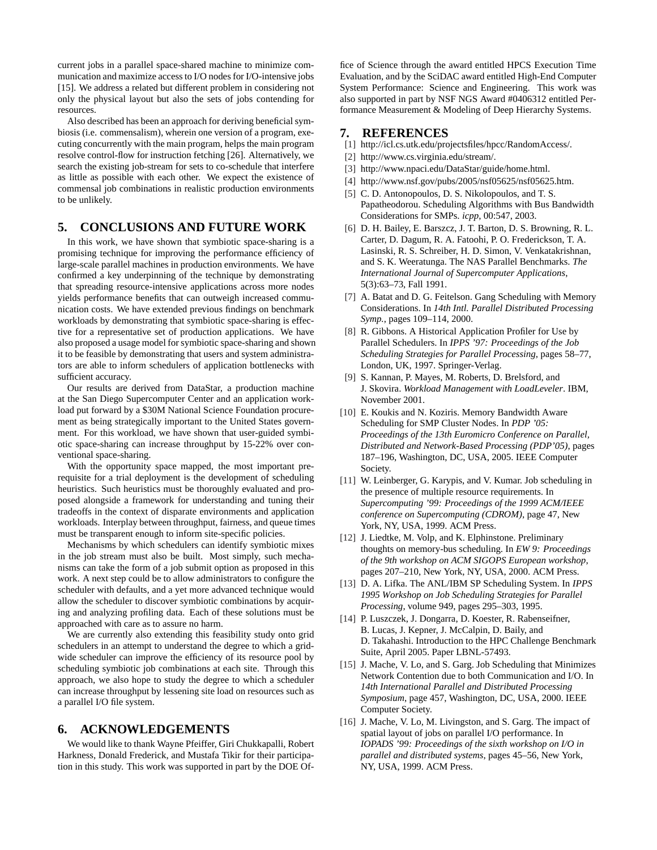current jobs in a parallel space-shared machine to minimize communication and maximize access to I/O nodes for I/O-intensive jobs [15]. We address a related but different problem in considering not only the physical layout but also the sets of jobs contending for resources.

Also described has been an approach for deriving beneficial symbiosis (i.e. commensalism), wherein one version of a program, executing concurrently with the main program, helps the main program resolve control-flow for instruction fetching [26]. Alternatively, we search the existing job-stream for sets to co-schedule that interfere as little as possible with each other. We expect the existence of commensal job combinations in realistic production environments to be unlikely.

## **5. CONCLUSIONS AND FUTURE WORK**

In this work, we have shown that symbiotic space-sharing is a promising technique for improving the performance efficiency of large-scale parallel machines in production environments. We have confirmed a key underpinning of the technique by demonstrating that spreading resource-intensive applications across more nodes yields performance benefits that can outweigh increased communication costs. We have extended previous findings on benchmark workloads by demonstrating that symbiotic space-sharing is effective for a representative set of production applications. We have also proposed a usage model for symbiotic space-sharing and shown it to be feasible by demonstrating that users and system administrators are able to inform schedulers of application bottlenecks with sufficient accuracy.

Our results are derived from DataStar, a production machine at the San Diego Supercomputer Center and an application workload put forward by a \$30M National Science Foundation procurement as being strategically important to the United States government. For this workload, we have shown that user-guided symbiotic space-sharing can increase throughput by 15-22% over conventional space-sharing.

With the opportunity space mapped, the most important prerequisite for a trial deployment is the development of scheduling heuristics. Such heuristics must be thoroughly evaluated and proposed alongside a framework for understanding and tuning their tradeoffs in the context of disparate environments and application workloads. Interplay between throughput, fairness, and queue times must be transparent enough to inform site-specific policies.

Mechanisms by which schedulers can identify symbiotic mixes in the job stream must also be built. Most simply, such mechanisms can take the form of a job submit option as proposed in this work. A next step could be to allow administrators to configure the scheduler with defaults, and a yet more advanced technique would allow the scheduler to discover symbiotic combinations by acquiring and analyzing profiling data. Each of these solutions must be approached with care as to assure no harm.

We are currently also extending this feasibility study onto grid schedulers in an attempt to understand the degree to which a gridwide scheduler can improve the efficiency of its resource pool by scheduling symbiotic job combinations at each site. Through this approach, we also hope to study the degree to which a scheduler can increase throughput by lessening site load on resources such as a parallel I/O file system.

## **6. ACKNOWLEDGEMENTS**

We would like to thank Wayne Pfeiffer, Giri Chukkapalli, Robert Harkness, Donald Frederick, and Mustafa Tikir for their participation in this study. This work was supported in part by the DOE Office of Science through the award entitled HPCS Execution Time Evaluation, and by the SciDAC award entitled High-End Computer System Performance: Science and Engineering. This work was also supported in part by NSF NGS Award #0406312 entitled Performance Measurement & Modeling of Deep Hierarchy Systems.

## **7. REFERENCES**

- [1] http://icl.cs.utk.edu/projectsfiles/hpcc/RandomAccess/.
- [2] http://www.cs.virginia.edu/stream/.
- [3] http://www.npaci.edu/DataStar/guide/home.html.
- [4] http://www.nsf.gov/pubs/2005/nsf05625/nsf05625.htm.
- [5] C. D. Antonopoulos, D. S. Nikolopoulos, and T. S. Papatheodorou. Scheduling Algorithms with Bus Bandwidth Considerations for SMPs. *icpp*, 00:547, 2003.
- [6] D. H. Bailey, E. Barszcz, J. T. Barton, D. S. Browning, R. L. Carter, D. Dagum, R. A. Fatoohi, P. O. Frederickson, T. A. Lasinski, R. S. Schreiber, H. D. Simon, V. Venkatakrishnan, and S. K. Weeratunga. The NAS Parallel Benchmarks. *The International Journal of Supercomputer Applications*, 5(3):63–73, Fall 1991.
- [7] A. Batat and D. G. Feitelson. Gang Scheduling with Memory Considerations. In *14th Intl. Parallel Distributed Processing Symp.*, pages 109–114, 2000.
- [8] R. Gibbons. A Historical Application Profiler for Use by Parallel Schedulers. In *IPPS '97: Proceedings of the Job Scheduling Strategies for Parallel Processing*, pages 58–77, London, UK, 1997. Springer-Verlag.
- [9] S. Kannan, P. Mayes, M. Roberts, D. Brelsford, and J. Skovira. *Workload Management with LoadLeveler*. IBM, November 2001.
- [10] E. Koukis and N. Koziris. Memory Bandwidth Aware Scheduling for SMP Cluster Nodes. In *PDP '05: Proceedings of the 13th Euromicro Conference on Parallel, Distributed and Network-Based Processing (PDP'05)*, pages 187–196, Washington, DC, USA, 2005. IEEE Computer Society.
- [11] W. Leinberger, G. Karypis, and V. Kumar. Job scheduling in the presence of multiple resource requirements. In *Supercomputing '99: Proceedings of the 1999 ACM/IEEE conference on Supercomputing (CDROM)*, page 47, New York, NY, USA, 1999. ACM Press.
- [12] J. Liedtke, M. Volp, and K. Elphinstone. Preliminary thoughts on memory-bus scheduling. In *EW 9: Proceedings of the 9th workshop on ACM SIGOPS European workshop*, pages 207–210, New York, NY, USA, 2000. ACM Press.
- [13] D. A. Lifka. The ANL/IBM SP Scheduling System. In *IPPS 1995 Workshop on Job Scheduling Strategies for Parallel Processing*, volume 949, pages 295–303, 1995.
- [14] P. Luszczek, J. Dongarra, D. Koester, R. Rabenseifner, B. Lucas, J. Kepner, J. McCalpin, D. Baily, and D. Takahashi. Introduction to the HPC Challenge Benchmark Suite, April 2005. Paper LBNL-57493.
- [15] J. Mache, V. Lo, and S. Garg. Job Scheduling that Minimizes Network Contention due to both Communication and I/O. In *14th International Parallel and Distributed Processing Symposium*, page 457, Washington, DC, USA, 2000. IEEE Computer Society.
- [16] J. Mache, V. Lo, M. Livingston, and S. Garg. The impact of spatial layout of jobs on parallel I/O performance. In *IOPADS '99: Proceedings of the sixth workshop on I/O in parallel and distributed systems*, pages 45–56, New York, NY, USA, 1999. ACM Press.